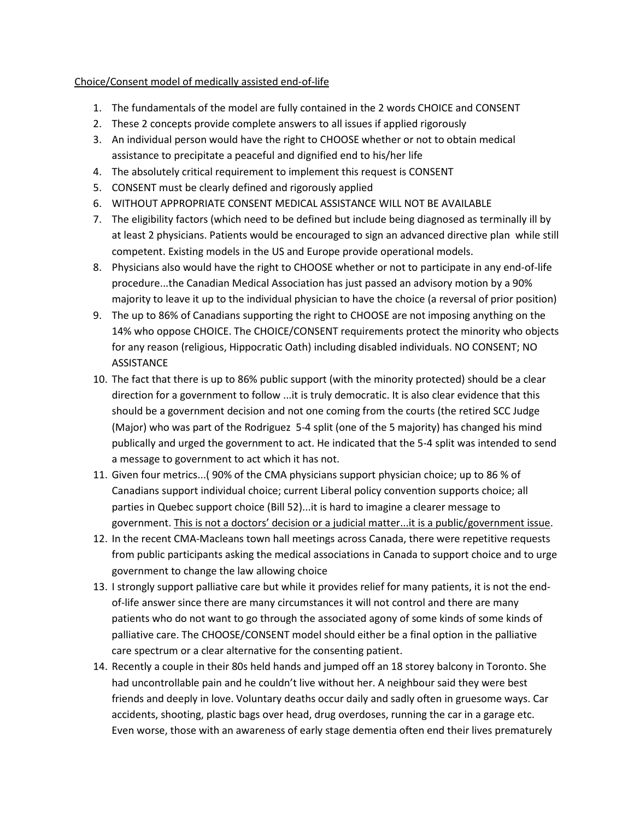## Choice/Consent model of medically assisted end-of-life

- 1. The fundamentals of the model are fully contained in the 2 words CHOICE and CONSENT
- 2. These 2 concepts provide complete answers to all issues if applied rigorously
- 3. An individual person would have the right to CHOOSE whether or not to obtain medical assistance to precipitate a peaceful and dignified end to his/her life
- 4. The absolutely critical requirement to implement this request is CONSENT
- 5. CONSENT must be clearly defined and rigorously applied
- 6. WITHOUT APPROPRIATE CONSENT MEDICAL ASSISTANCE WILL NOT BE AVAILABLE
- 7. The eligibility factors (which need to be defined but include being diagnosed as terminally ill by at least 2 physicians. Patients would be encouraged to sign an advanced directive plan while still competent. Existing models in the US and Europe provide operational models.
- 8. Physicians also would have the right to CHOOSE whether or not to participate in any end-of-life procedure...the Canadian Medical Association has just passed an advisory motion by a 90% majority to leave it up to the individual physician to have the choice (a reversal of prior position)
- 9. The up to 86% of Canadians supporting the right to CHOOSE are not imposing anything on the 14% who oppose CHOICE. The CHOICE/CONSENT requirements protect the minority who objects for any reason (religious, Hippocratic Oath) including disabled individuals. NO CONSENT; NO **ASSISTANCE**
- 10. The fact that there is up to 86% public support (with the minority protected) should be a clear direction for a government to follow ...it is truly democratic. It is also clear evidence that this should be a government decision and not one coming from the courts (the retired SCC Judge (Major) who was part of the Rodriguez 5-4 split (one of the 5 majority) has changed his mind publically and urged the government to act. He indicated that the 5-4 split was intended to send a message to government to act which it has not.
- 11. Given four metrics...( 90% of the CMA physicians support physician choice; up to 86 % of Canadians support individual choice; current Liberal policy convention supports choice; all parties in Quebec support choice (Bill 52)...it is hard to imagine a clearer message to government. This is not a doctors' decision or a judicial matter...it is a public/government issue.
- 12. In the recent CMA-Macleans town hall meetings across Canada, there were repetitive requests from public participants asking the medical associations in Canada to support choice and to urge government to change the law allowing choice
- 13. I strongly support palliative care but while it provides relief for many patients, it is not the endof-life answer since there are many circumstances it will not control and there are many patients who do not want to go through the associated agony of some kinds of some kinds of palliative care. The CHOOSE/CONSENT model should either be a final option in the palliative care spectrum or a clear alternative for the consenting patient.
- 14. Recently a couple in their 80s held hands and jumped off an 18 storey balcony in Toronto. She had uncontrollable pain and he couldn't live without her. A neighbour said they were best friends and deeply in love. Voluntary deaths occur daily and sadly often in gruesome ways. Car accidents, shooting, plastic bags over head, drug overdoses, running the car in a garage etc. Even worse, those with an awareness of early stage dementia often end their lives prematurely